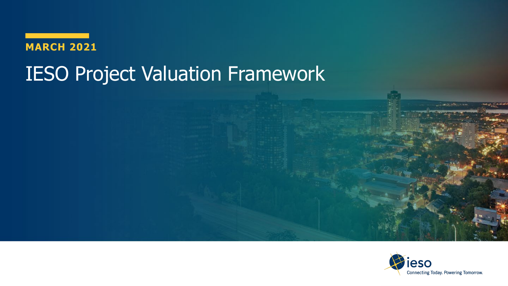

# IESO Project Valuation Framework

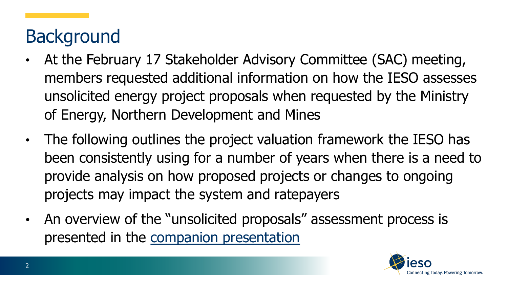# **Background**

- At the February 17 Stakeholder Advisory Committee (SAC) meeting, members requested additional information on how the IESO assesses unsolicited energy project proposals when requested by the Ministry of Energy, Northern Development and Mines
- The following outlines the project valuation framework the IESO has been consistently using for a number of years when there is a need to provide analysis on how proposed projects or changes to ongoing projects may impact the system and ratepayers
- An overview of the "unsolicited proposals" assessment process is presented in the [companion presentation](https://www.ieso.ca/-/media/Files/IESO/Document-Library/sac/2021/sac-20210217-unsolicited-proposals.ashx)

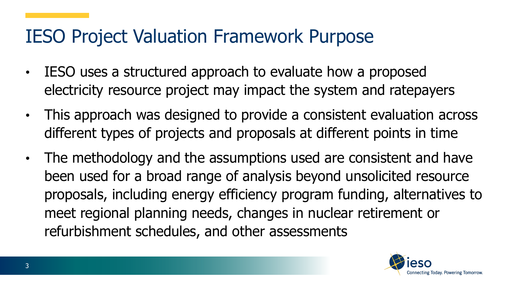### IESO Project Valuation Framework Purpose

- IESO uses a structured approach to evaluate how a proposed electricity resource project may impact the system and ratepayers
- This approach was designed to provide a consistent evaluation across different types of projects and proposals at different points in time
- The methodology and the assumptions used are consistent and have been used for a broad range of analysis beyond unsolicited resource proposals, including energy efficiency program funding, alternatives to meet regional planning needs, changes in nuclear retirement or refurbishment schedules, and other assessments

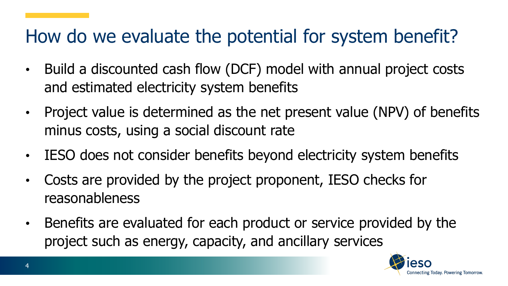## How do we evaluate the potential for system benefit?

- Build a discounted cash flow (DCF) model with annual project costs and estimated electricity system benefits
- Project value is determined as the net present value (NPV) of benefits minus costs, using a social discount rate
- IESO does not consider benefits beyond electricity system benefits
- Costs are provided by the project proponent, IESO checks for reasonableness
- Benefits are evaluated for each product or service provided by the project such as energy, capacity, and ancillary services

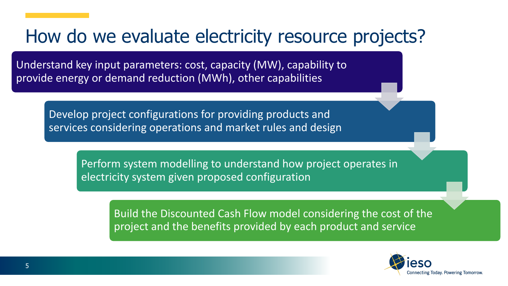#### How do we evaluate electricity resource projects?

Understand key input parameters: cost, capacity (MW), capability to provide energy or demand reduction (MWh), other capabilities

Develop project configurations for providing products and services considering operations and market rules and design

> Perform system modelling to understand how project operates in electricity system given proposed configuration

> > Build the Discounted Cash Flow model considering the cost of the project and the benefits provided by each product and service

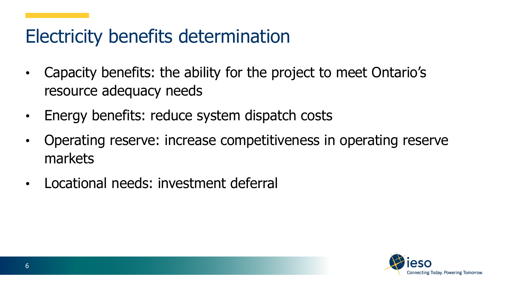### Electricity benefits determination

- Capacity benefits: the ability for the project to meet Ontario's resource adequacy needs
- Energy benefits: reduce system dispatch costs
- Operating reserve: increase competitiveness in operating reserve markets
- Locational needs: investment deferral

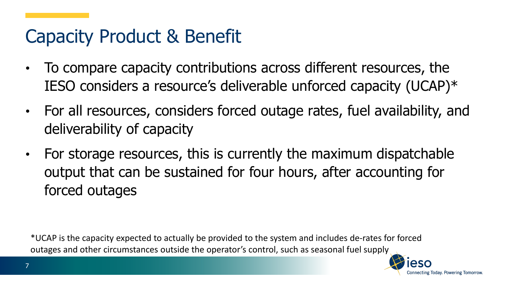### Capacity Product & Benefit

- To compare capacity contributions across different resources, the IESO considers a resource's deliverable unforced capacity (UCAP)\*
- For all resources, considers forced outage rates, fuel availability, and deliverability of capacity
- For storage resources, this is currently the maximum dispatchable output that can be sustained for four hours, after accounting for forced outages

\*UCAP is the capacity expected to actually be provided to the system and includes de-rates for forced outages and other circumstances outside the operator's control, such as seasonal fuel supply

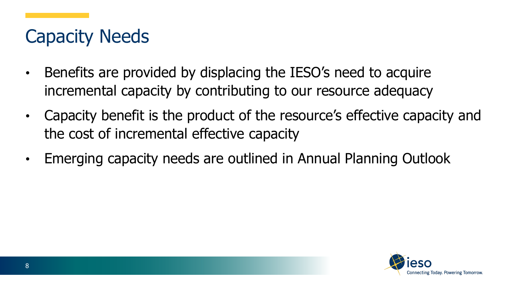## Capacity Needs

- Benefits are provided by displacing the IESO's need to acquire incremental capacity by contributing to our resource adequacy
- Capacity benefit is the product of the resource's effective capacity and the cost of incremental effective capacity
- Emerging capacity needs are outlined in Annual Planning Outlook

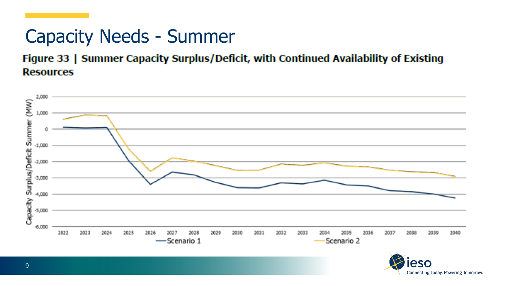## Capacity Needs - Summer

Figure 33 | Summer Capacity Surplus/Deficit, with Continued Availability of Existing **Resources** 



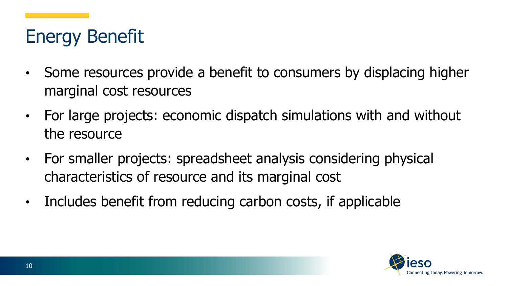# Energy Benefit

- Some resources provide a benefit to consumers by displacing higher marginal cost resources
- For large projects: economic dispatch simulations with and without the resource
- For smaller projects: spreadsheet analysis considering physical characteristics of resource and its marginal cost
- Includes benefit from reducing carbon costs, if applicable

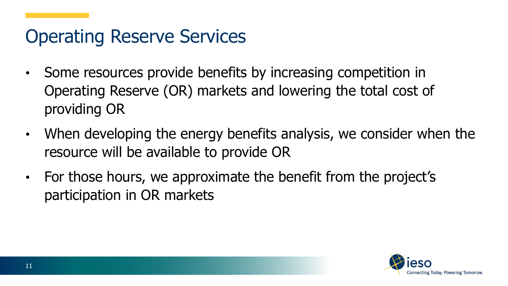### Operating Reserve Services

- Some resources provide benefits by increasing competition in Operating Reserve (OR) markets and lowering the total cost of providing OR
- When developing the energy benefits analysis, we consider when the resource will be available to provide OR
- For those hours, we approximate the benefit from the project's participation in OR markets

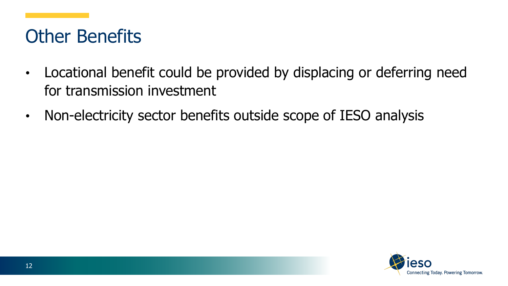## Other Benefits

- Locational benefit could be provided by displacing or deferring need for transmission investment
- Non-electricity sector benefits outside scope of IESO analysis